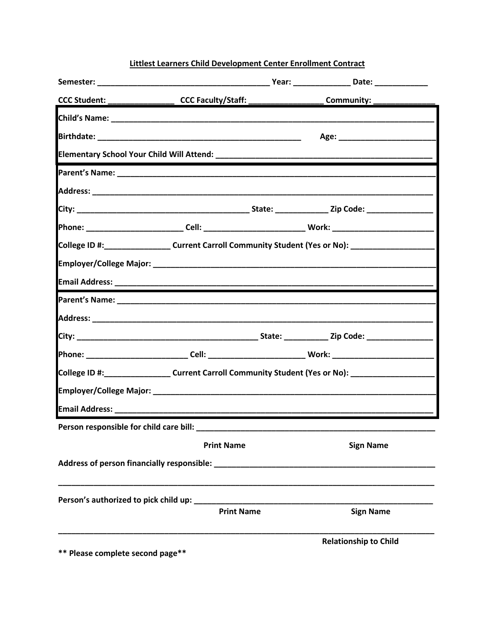## Littlest Learners Child Development Center Enrollment Contract

| CCC Student: ____________________CCC Faculty/Staff: ___________________Community: __________________ |                   |                              |
|------------------------------------------------------------------------------------------------------|-------------------|------------------------------|
|                                                                                                      |                   |                              |
|                                                                                                      |                   |                              |
|                                                                                                      |                   |                              |
|                                                                                                      |                   |                              |
|                                                                                                      |                   |                              |
|                                                                                                      |                   |                              |
|                                                                                                      |                   |                              |
| College ID #: Current Carroll Community Student (Yes or No): College ID #:                           |                   |                              |
|                                                                                                      |                   |                              |
|                                                                                                      |                   |                              |
|                                                                                                      |                   |                              |
|                                                                                                      |                   |                              |
|                                                                                                      |                   |                              |
|                                                                                                      |                   |                              |
| College ID #: ___________________Current Carroll Community Student (Yes or No): ___________________  |                   |                              |
|                                                                                                      |                   |                              |
|                                                                                                      |                   |                              |
|                                                                                                      |                   |                              |
|                                                                                                      | <b>Print Name</b> | <b>Sign Name</b>             |
|                                                                                                      |                   |                              |
|                                                                                                      |                   |                              |
|                                                                                                      | <b>Print Name</b> | <b>Sign Name</b>             |
| $**$ Disage complete consul parakk                                                                   |                   | <b>Relationship to Child</b> |

Please complete second page<sup>3</sup>